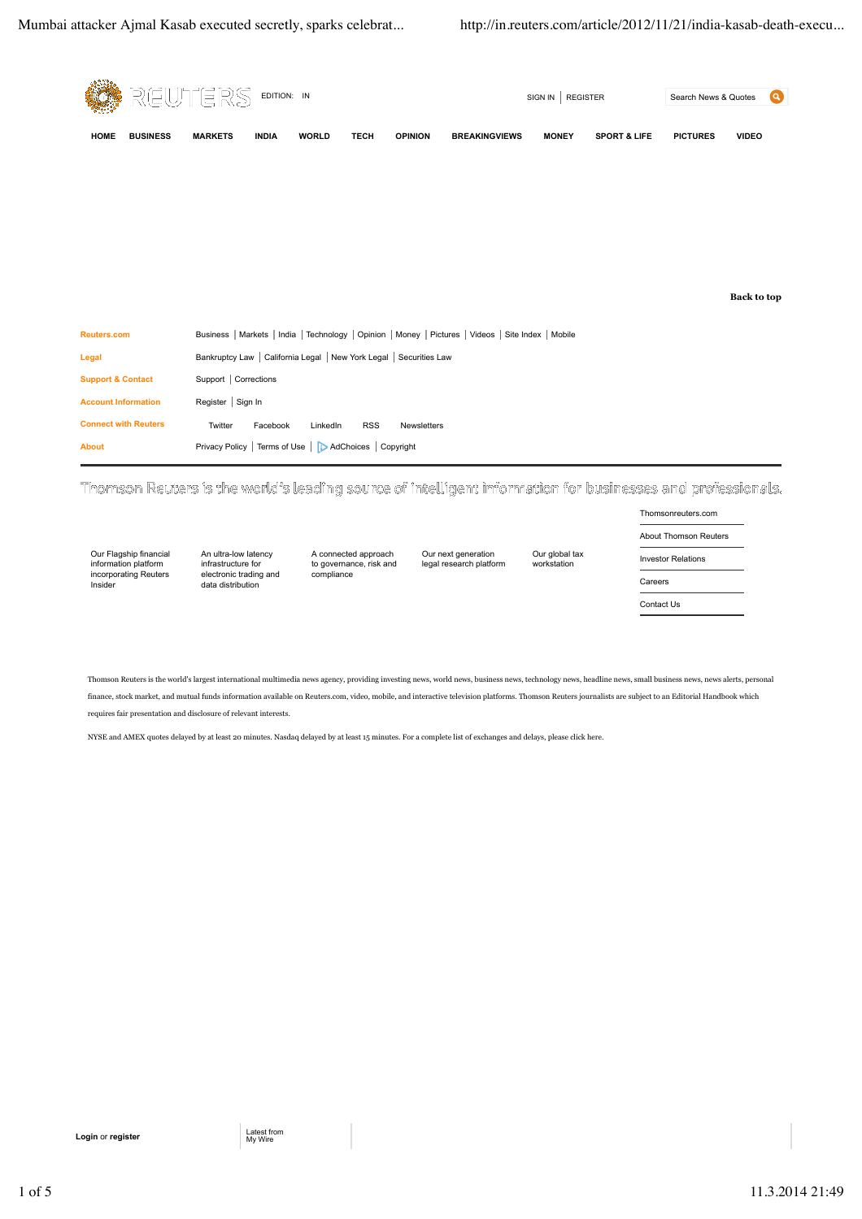

Thomson Reuters is the world's leading source of intelligent information for businesses and professionals.

```
Our Flagship financial
information platform
incorporating Reuters
Insider
```
An ultra-low latency infrastructure for electronic trading and data distribution

A connected approach to governance, risk and compliance

Our next generation legal research platform Our global tax workstation

Thomsonreuters.com About Thomson Reuters Investor Relations Careers Contact Us

Thomson Reuters is the world's largest international multimedia news agency, providing investing news, world news, business news, technology news, headline news, small business news, news alerts, personal finance, stock market, and mutual funds information available on Reuters.com, video, mobile, and interactive television platforms. Thomson Reuters journalists are subject to an Editorial Handbook which requires fair presentation and disclosure of relevant interests.

NYSE and AMEX quotes delayed by at least 20 minutes. Nasdaq delayed by at least 15 minutes. For a complete list of exchanges and delays, please click here.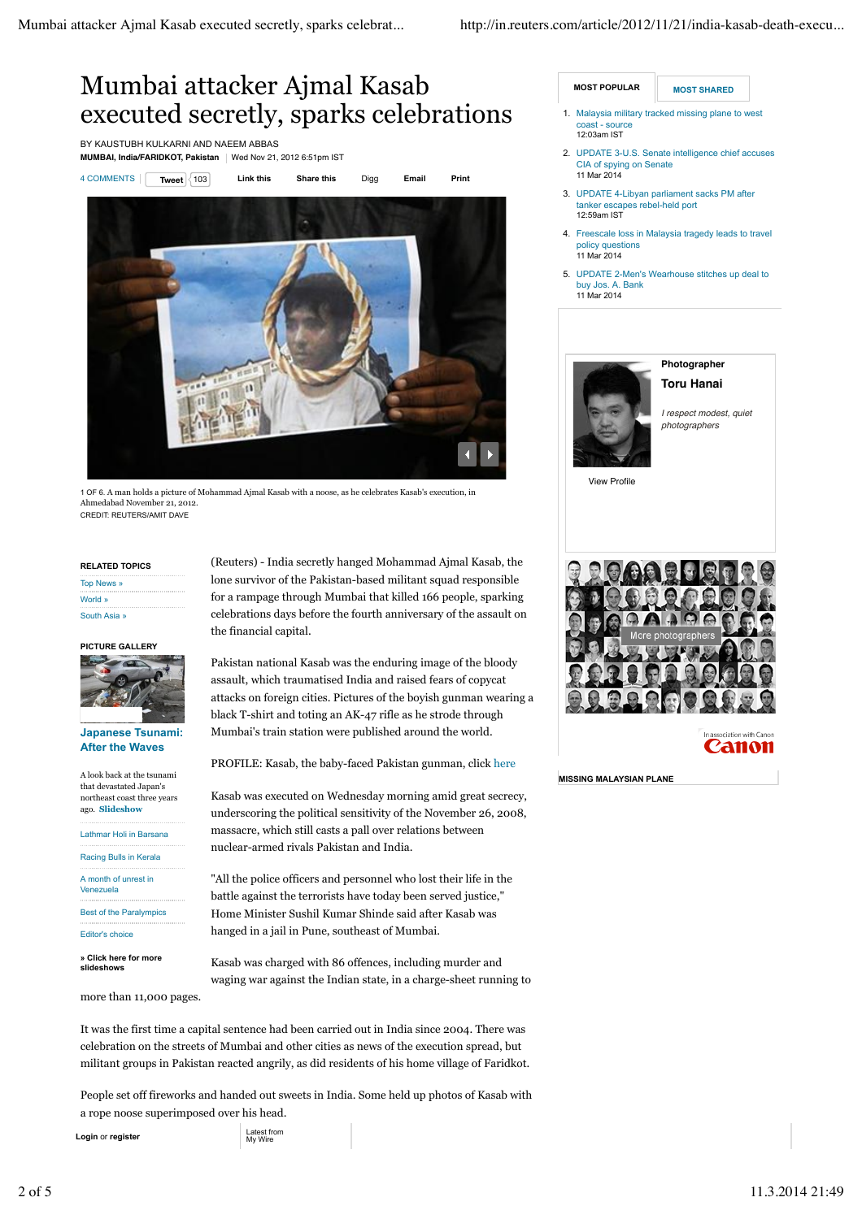# Mumbai attacker Ajmal Kasab executed secretly, sparks celebrations

BY KAUSTUBH KULKARNI AND NAEEM ABBAS



Ahmedabad November 21, 2012. CREDIT: REUTERS/AMIT DAVE

**RELATED TOPICS** Top News » World » South Asia »

### **PICTURE GALLERY**



### **Japanese Tsunami: After the Waves**

A look back at the tsunami that devastated Japan's northeast coast three years ago. **Slideshow**

Lathmar Holi in Barsana Racing Bulls in Kerala A month of unrest in Venezuela Best of the Paralympics Editor's choice

**» Click here for more slideshows**

more than 11,000 pages.

(Reuters) - India secretly hanged Mohammad Ajmal Kasab, the lone survivor of the Pakistan-based militant squad responsible for a rampage through Mumbai that killed 166 people, sparking celebrations days before the fourth anniversary of the assault on the financial capital.

Pakistan national Kasab was the enduring image of the bloody assault, which traumatised India and raised fears of copycat attacks on foreign cities. Pictures of the boyish gunman wearing a black T-shirt and toting an AK-47 rifle as he strode through Mumbai's train station were published around the world.

PROFILE: Kasab, the baby-faced Pakistan gunman, click here

Kasab was executed on Wednesday morning amid great secrecy, underscoring the political sensitivity of the November 26, 2008, massacre, which still casts a pall over relations between nuclear-armed rivals Pakistan and India.

"All the police officers and personnel who lost their life in the battle against the terrorists have today been served justice," Home Minister Sushil Kumar Shinde said after Kasab was hanged in a jail in Pune, southeast of Mumbai.

Kasab was charged with 86 offences, including murder and waging war against the Indian state, in a charge-sheet running to

It was the first time a capital sentence had been carried out in India since 2004. There was celebration on the streets of Mumbai and other cities as news of the execution spread, but militant groups in Pakistan reacted angrily, as did residents of his home village of Faridkot.

People set off fireworks and handed out sweets in India. Some held up photos of Kasab with a rope noose superimposed over his head.

**Login** or **register** 

Latest from<br>My Wire

**MOST POPULAR MOST SHARED** 

- Malaysia military tracked missing plane to west coast - source 12:03am IST 1.
- UPDATE 3-U.S. Senate intelligence chief accuses 2. CIA of spying on Senate 11 Mar 2014
- UPDATE 4-Libyan parliament sacks PM after 3. tanker escapes rebel-held port 12:59am IST
- 4. Freescale loss in Malaysia tragedy leads to travel policy questions 11 Mar 2014
- UPDATE 2-Men's Wearhouse stitches up deal to 5. buy Jos. A. Bank 11 Mar 2014





*I respect modest, quiet photographers*

View Profile



Canon

**MISSING MALAYSIAN PLANE**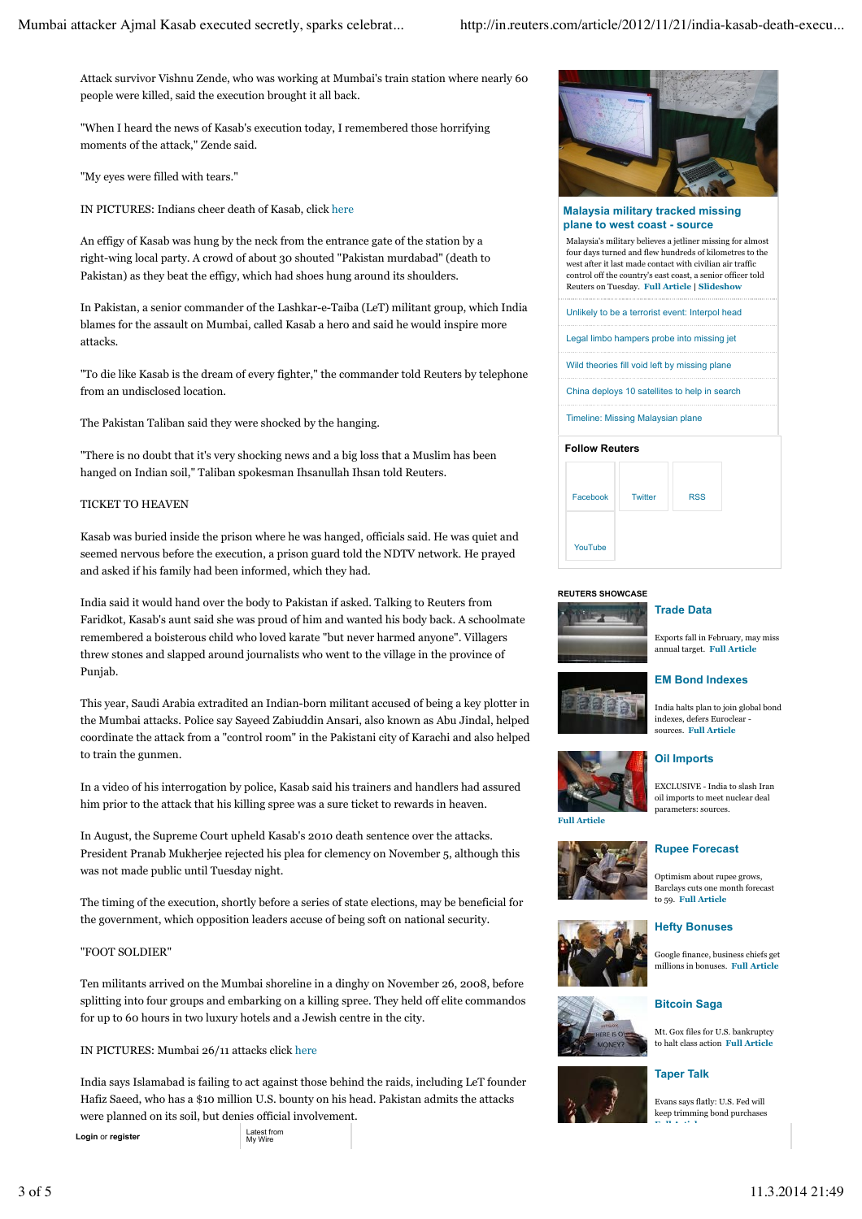Attack survivor Vishnu Zende, who was working at Mumbai's train station where nearly 60 people were killed, said the execution brought it all back.

"When I heard the news of Kasab's execution today, I remembered those horrifying moments of the attack," Zende said.

"My eyes were filled with tears."

IN PICTURES: Indians cheer death of Kasab, click here

An effigy of Kasab was hung by the neck from the entrance gate of the station by a right-wing local party. A crowd of about 30 shouted "Pakistan murdabad" (death to Pakistan) as they beat the effigy, which had shoes hung around its shoulders.

In Pakistan, a senior commander of the Lashkar-e-Taiba (LeT) militant group, which India blames for the assault on Mumbai, called Kasab a hero and said he would inspire more attacks.

"To die like Kasab is the dream of every fighter," the commander told Reuters by telephone from an undisclosed location.

The Pakistan Taliban said they were shocked by the hanging.

"There is no doubt that it's very shocking news and a big loss that a Muslim has been hanged on Indian soil," Taliban spokesman Ihsanullah Ihsan told Reuters.

### TICKET TO HEAVEN

Kasab was buried inside the prison where he was hanged, officials said. He was quiet and seemed nervous before the execution, a prison guard told the NDTV network. He prayed and asked if his family had been informed, which they had.

India said it would hand over the body to Pakistan if asked. Talking to Reuters from Faridkot, Kasab's aunt said she was proud of him and wanted his body back. A schoolmate remembered a boisterous child who loved karate "but never harmed anyone". Villagers threw stones and slapped around journalists who went to the village in the province of Punjab.

This year, Saudi Arabia extradited an Indian-born militant accused of being a key plotter in the Mumbai attacks. Police say Sayeed Zabiuddin Ansari, also known as Abu Jindal, helped coordinate the attack from a "control room" in the Pakistani city of Karachi and also helped to train the gunmen.

In a video of his interrogation by police, Kasab said his trainers and handlers had assured him prior to the attack that his killing spree was a sure ticket to rewards in heaven.

In August, the Supreme Court upheld Kasab's 2010 death sentence over the attacks. President Pranab Mukherjee rejected his plea for clemency on November 5, although this was not made public until Tuesday night.

The timing of the execution, shortly before a series of state elections, may be beneficial for the government, which opposition leaders accuse of being soft on national security.

### "FOOT SOLDIER"

Ten militants arrived on the Mumbai shoreline in a dinghy on November 26, 2008, before splitting into four groups and embarking on a killing spree. They held off elite commandos for up to 60 hours in two luxury hotels and a Jewish centre in the city.

### IN PICTURES: Mumbai 26/11 attacks click here

India says Islamabad is failing to act against those behind the raids, including LeT founder Hafiz Saeed, who has a \$10 million U.S. bounty on his head. Pakistan admits the attacks were planned on its soil, but denies official involvement.

**Login** or **register** 

Latest from<br>My Wire



### **Malaysia military tracked missing plane to west coast - source**

Malaysia's military believes a jetliner missing for almost four days turned and flew hundreds of kilometres to the west after it last made contact with civilian air traffic control off the country's east coast, a senior officer told Reuters on Tuesday. **Full Article | Slideshow**

Unlikely to be a terrorist event: Interpol head

Legal limbo hampers probe into missing jet

Wild theories fill void left by missing plane

China deploys 10 satellites to help in search

Timeline: Missing Malaysian plane

## **Follow Reuters**



### **REUTERS SHOWCASE**



### **Trade Data**

**Oil Imports**

Exports fall in February, may miss annual target. **Full Article**

### **EM Bond Indexes**



India halts plan to join global bond indexes, defers Euroclear sources. **Full Article**

EXCLUSIVE - India to slash Iran oil imports to meet nuclear deal parameters: sources.

**Full Article**









Evans says flatly: U.S. Fed will keep trimming bond purchases **Full Article**

Mt. Gox files for U.S. bankruptcy to halt class action **Full Article**

**Bitcoin Saga**